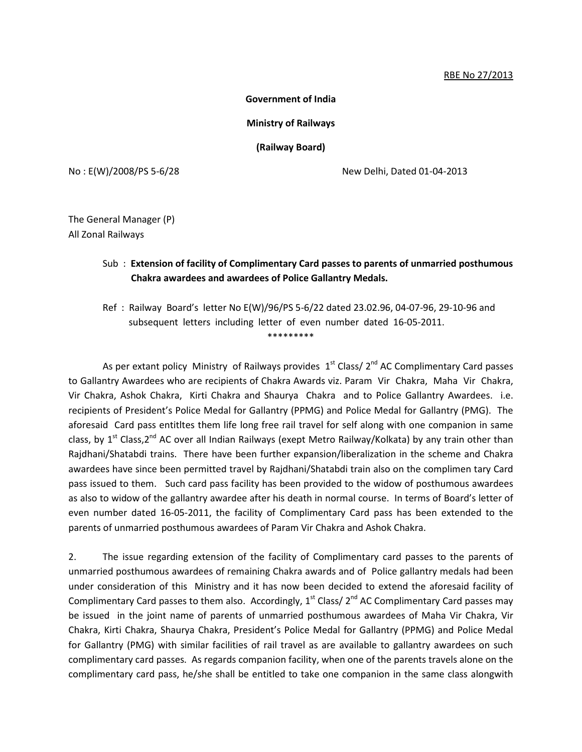## RBE No 27/2013

**Government of India**

**Ministry of Railways**

**(Railway Board)**

No : E(W)/2008/PS 5-6/28 New Delhi, Dated 01-04-2013

The General Manager (P) All Zonal Railways

## Sub : **Extension of facility of Complimentary Card passes to parents of unmarried posthumous Chakra awardees and awardees of Police Gallantry Medals.**

Ref : Railway Board's letter No E(W)/96/PS 5-6/22 dated 23.02.96, 04-07-96, 29-10-96 and subsequent letters including letter of even number dated 16-05-2011. \*\*\*\*\*\*\*\*\*

As per extant policy Ministry of Railways provides  $1<sup>st</sup>$  Class/ $2<sup>nd</sup>$  AC Complimentary Card passes to Gallantry Awardees who are recipients of Chakra Awards viz. Param Vir Chakra, Maha Vir Chakra, Vir Chakra, Ashok Chakra, Kirti Chakra and Shaurya Chakra and to Police Gallantry Awardees. i.e. recipients of President's Police Medal for Gallantry (PPMG) and Police Medal for Gallantry (PMG). The aforesaid Card pass entitltes them life long free rail travel for self along with one companion in same class, by  $1^{st}$  Class,  $2^{nd}$  AC over all Indian Railways (exept Metro Railway/Kolkata) by any train other than Rajdhani/Shatabdi trains. There have been further expansion/liberalization in the scheme and Chakra awardees have since been permitted travel by Rajdhani/Shatabdi train also on the complimen tary Card pass issued to them. Such card pass facility has been provided to the widow of posthumous awardees as also to widow of the gallantry awardee after his death in normal course. In terms of Board's letter of even number dated 16-05-2011, the facility of Complimentary Card pass has been extended to the parents of unmarried posthumous awardees of Param Vir Chakra and Ashok Chakra.

2. The issue regarding extension of the facility of Complimentary card passes to the parents of unmarried posthumous awardees of remaining Chakra awards and of Police gallantry medals had been under consideration of this Ministry and it has now been decided to extend the aforesaid facility of Complimentary Card passes to them also. Accordingly,  $1<sup>st</sup>$  Class/ $2<sup>nd</sup>$  AC Complimentary Card passes may be issued in the joint name of parents of unmarried posthumous awardees of Maha Vir Chakra, Vir Chakra, Kirti Chakra, Shaurya Chakra, President's Police Medal for Gallantry (PPMG) and Police Medal for Gallantry (PMG) with similar facilities of rail travel as are available to gallantry awardees on such complimentary card passes. As regards companion facility, when one of the parents travels alone on the complimentary card pass, he/she shall be entitled to take one companion in the same class alongwith